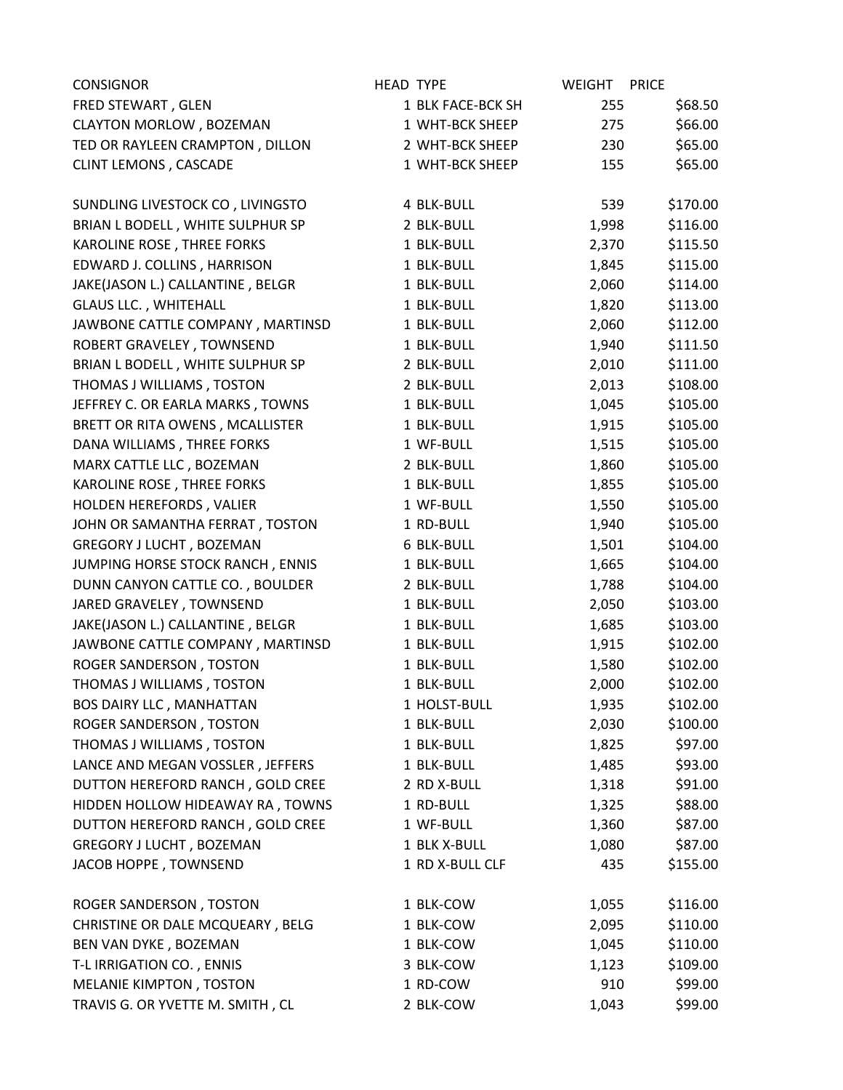| <b>CONSIGNOR</b>                 | <b>HEAD TYPE</b> |                   | <b>WEIGHT</b> | <b>PRICE</b> |
|----------------------------------|------------------|-------------------|---------------|--------------|
| FRED STEWART, GLEN               |                  | 1 BLK FACE-BCK SH | 255           | \$68.50      |
| <b>CLAYTON MORLOW, BOZEMAN</b>   |                  | 1 WHT-BCK SHEEP   | 275           | \$66.00      |
| TED OR RAYLEEN CRAMPTON, DILLON  |                  | 2 WHT-BCK SHEEP   | 230           | \$65.00      |
| <b>CLINT LEMONS, CASCADE</b>     |                  | 1 WHT-BCK SHEEP   | 155           | \$65.00      |
| SUNDLING LIVESTOCK CO, LIVINGSTO |                  | 4 BLK-BULL        | 539           | \$170.00     |
| BRIAN L BODELL, WHITE SULPHUR SP |                  | 2 BLK-BULL        | 1,998         | \$116.00     |
| KAROLINE ROSE, THREE FORKS       |                  | 1 BLK-BULL        | 2,370         | \$115.50     |
| EDWARD J. COLLINS, HARRISON      |                  | 1 BLK-BULL        | 1,845         | \$115.00     |
| JAKE(JASON L.) CALLANTINE, BELGR |                  | 1 BLK-BULL        | 2,060         | \$114.00     |
| <b>GLAUS LLC., WHITEHALL</b>     |                  | 1 BLK-BULL        | 1,820         | \$113.00     |
| JAWBONE CATTLE COMPANY, MARTINSD |                  | 1 BLK-BULL        | 2,060         | \$112.00     |
| ROBERT GRAVELEY, TOWNSEND        |                  | 1 BLK-BULL        | 1,940         | \$111.50     |
| BRIAN L BODELL, WHITE SULPHUR SP |                  | 2 BLK-BULL        | 2,010         | \$111.00     |
| THOMAS J WILLIAMS, TOSTON        |                  | 2 BLK-BULL        | 2,013         | \$108.00     |
| JEFFREY C. OR EARLA MARKS, TOWNS |                  | 1 BLK-BULL        | 1,045         | \$105.00     |
| BRETT OR RITA OWENS, MCALLISTER  |                  | 1 BLK-BULL        | 1,915         | \$105.00     |
| DANA WILLIAMS, THREE FORKS       |                  | 1 WF-BULL         | 1,515         | \$105.00     |
| MARX CATTLE LLC, BOZEMAN         |                  | 2 BLK-BULL        | 1,860         | \$105.00     |
| KAROLINE ROSE, THREE FORKS       |                  | 1 BLK-BULL        | 1,855         | \$105.00     |
| HOLDEN HEREFORDS, VALIER         |                  | 1 WF-BULL         | 1,550         | \$105.00     |
| JOHN OR SAMANTHA FERRAT, TOSTON  |                  | 1 RD-BULL         | 1,940         | \$105.00     |
| <b>GREGORY J LUCHT, BOZEMAN</b>  |                  | <b>6 BLK-BULL</b> | 1,501         | \$104.00     |
| JUMPING HORSE STOCK RANCH, ENNIS |                  | 1 BLK-BULL        | 1,665         | \$104.00     |
| DUNN CANYON CATTLE CO., BOULDER  |                  | 2 BLK-BULL        | 1,788         | \$104.00     |
| JARED GRAVELEY, TOWNSEND         |                  | 1 BLK-BULL        | 2,050         | \$103.00     |
| JAKE(JASON L.) CALLANTINE, BELGR |                  | 1 BLK-BULL        | 1,685         | \$103.00     |
| JAWBONE CATTLE COMPANY, MARTINSD |                  | 1 BLK-BULL        | 1,915         | \$102.00     |
| ROGER SANDERSON, TOSTON          |                  | 1 BLK-BULL        | 1,580         | \$102.00     |
| THOMAS J WILLIAMS, TOSTON        |                  | 1 BLK-BULL        | 2,000         | \$102.00     |
| <b>BOS DAIRY LLC, MANHATTAN</b>  |                  | 1 HOLST-BULL      | 1,935         | \$102.00     |
| ROGER SANDERSON, TOSTON          |                  | 1 BLK-BULL        | 2,030         | \$100.00     |
| THOMAS J WILLIAMS, TOSTON        |                  | 1 BLK-BULL        | 1,825         | \$97.00      |
| LANCE AND MEGAN VOSSLER, JEFFERS |                  | 1 BLK-BULL        | 1,485         | \$93.00      |
| DUTTON HEREFORD RANCH, GOLD CREE |                  | 2 RD X-BULL       | 1,318         | \$91.00      |
| HIDDEN HOLLOW HIDEAWAY RA, TOWNS |                  | 1 RD-BULL         | 1,325         | \$88.00      |
| DUTTON HEREFORD RANCH, GOLD CREE |                  | 1 WF-BULL         | 1,360         | \$87.00      |
| GREGORY J LUCHT, BOZEMAN         |                  | 1 BLK X-BULL      | 1,080         | \$87.00      |
| JACOB HOPPE, TOWNSEND            |                  | 1 RD X-BULL CLF   | 435           | \$155.00     |
| ROGER SANDERSON, TOSTON          |                  | 1 BLK-COW         | 1,055         | \$116.00     |
| CHRISTINE OR DALE MCQUEARY, BELG |                  | 1 BLK-COW         | 2,095         | \$110.00     |
| BEN VAN DYKE, BOZEMAN            |                  | 1 BLK-COW         | 1,045         | \$110.00     |
| T-L IRRIGATION CO., ENNIS        |                  | 3 BLK-COW         | 1,123         | \$109.00     |
| MELANIE KIMPTON, TOSTON          |                  | 1 RD-COW          | 910           | \$99.00      |
| TRAVIS G. OR YVETTE M. SMITH, CL |                  | 2 BLK-COW         | 1,043         | \$99.00      |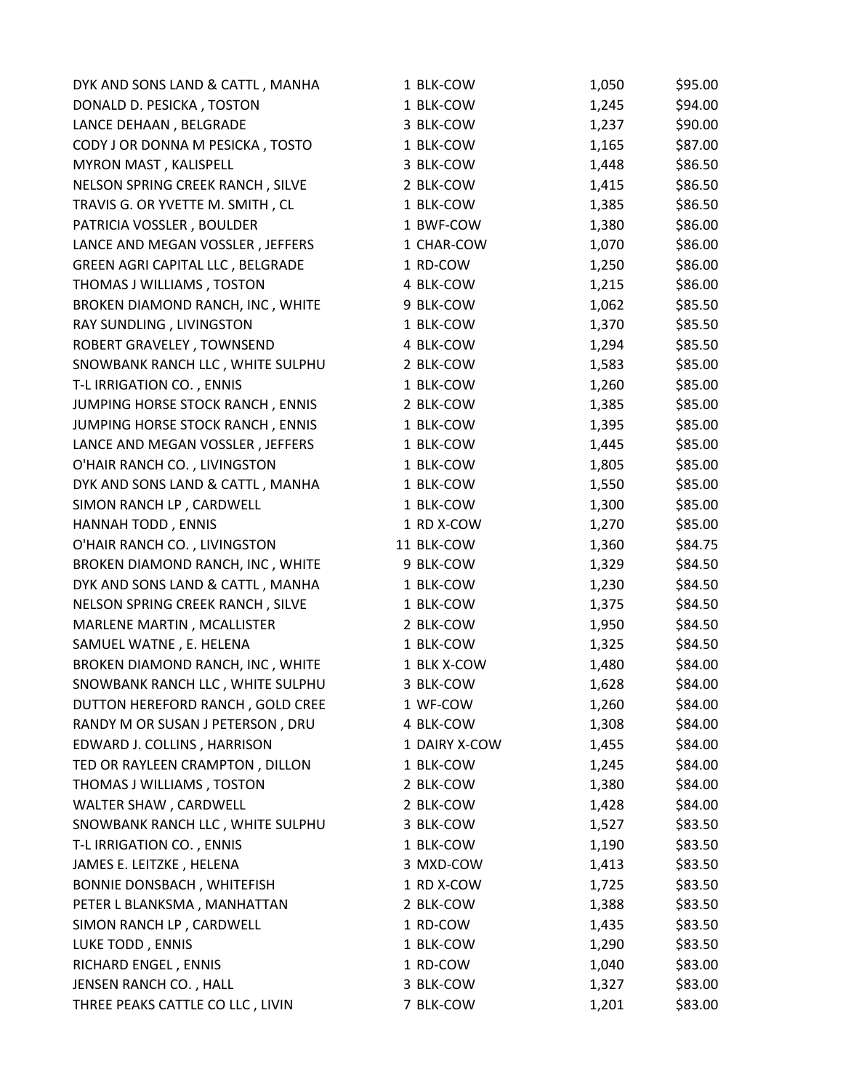| DYK AND SONS LAND & CATTL, MANHA | 1 BLK-COW     | 1,050 | \$95.00 |
|----------------------------------|---------------|-------|---------|
| DONALD D. PESICKA, TOSTON        | 1 BLK-COW     | 1,245 | \$94.00 |
| LANCE DEHAAN, BELGRADE           | 3 BLK-COW     | 1,237 | \$90.00 |
| CODY J OR DONNA M PESICKA, TOSTO | 1 BLK-COW     | 1,165 | \$87.00 |
| MYRON MAST, KALISPELL            | 3 BLK-COW     | 1,448 | \$86.50 |
| NELSON SPRING CREEK RANCH, SILVE | 2 BLK-COW     | 1,415 | \$86.50 |
| TRAVIS G. OR YVETTE M. SMITH, CL | 1 BLK-COW     | 1,385 | \$86.50 |
| PATRICIA VOSSLER, BOULDER        | 1 BWF-COW     | 1,380 | \$86.00 |
| LANCE AND MEGAN VOSSLER, JEFFERS | 1 CHAR-COW    | 1,070 | \$86.00 |
| GREEN AGRI CAPITAL LLC, BELGRADE | 1 RD-COW      | 1,250 | \$86.00 |
| THOMAS J WILLIAMS, TOSTON        | 4 BLK-COW     | 1,215 | \$86.00 |
| BROKEN DIAMOND RANCH, INC, WHITE | 9 BLK-COW     | 1,062 | \$85.50 |
| RAY SUNDLING, LIVINGSTON         | 1 BLK-COW     | 1,370 | \$85.50 |
| ROBERT GRAVELEY, TOWNSEND        | 4 BLK-COW     | 1,294 | \$85.50 |
| SNOWBANK RANCH LLC, WHITE SULPHU | 2 BLK-COW     | 1,583 | \$85.00 |
| T-L IRRIGATION CO., ENNIS        | 1 BLK-COW     | 1,260 | \$85.00 |
| JUMPING HORSE STOCK RANCH, ENNIS | 2 BLK-COW     | 1,385 | \$85.00 |
| JUMPING HORSE STOCK RANCH, ENNIS | 1 BLK-COW     | 1,395 | \$85.00 |
| LANCE AND MEGAN VOSSLER, JEFFERS | 1 BLK-COW     | 1,445 | \$85.00 |
| O'HAIR RANCH CO., LIVINGSTON     | 1 BLK-COW     | 1,805 | \$85.00 |
| DYK AND SONS LAND & CATTL, MANHA | 1 BLK-COW     | 1,550 | \$85.00 |
| SIMON RANCH LP, CARDWELL         | 1 BLK-COW     | 1,300 | \$85.00 |
| HANNAH TODD, ENNIS               | 1 RD X-COW    | 1,270 | \$85.00 |
| O'HAIR RANCH CO., LIVINGSTON     | 11 BLK-COW    | 1,360 | \$84.75 |
| BROKEN DIAMOND RANCH, INC, WHITE | 9 BLK-COW     | 1,329 | \$84.50 |
| DYK AND SONS LAND & CATTL, MANHA | 1 BLK-COW     | 1,230 | \$84.50 |
| NELSON SPRING CREEK RANCH, SILVE | 1 BLK-COW     | 1,375 | \$84.50 |
| MARLENE MARTIN, MCALLISTER       | 2 BLK-COW     | 1,950 | \$84.50 |
| SAMUEL WATNE, E. HELENA          | 1 BLK-COW     | 1,325 | \$84.50 |
| BROKEN DIAMOND RANCH, INC, WHITE | 1 BLK X-COW   | 1,480 | \$84.00 |
| SNOWBANK RANCH LLC, WHITE SULPHU | 3 BLK-COW     | 1,628 | \$84.00 |
| DUTTON HEREFORD RANCH, GOLD CREE | 1 WF-COW      | 1,260 | \$84.00 |
| RANDY M OR SUSAN J PETERSON, DRU | 4 BLK-COW     | 1,308 | \$84.00 |
| EDWARD J. COLLINS, HARRISON      | 1 DAIRY X-COW | 1,455 | \$84.00 |
| TED OR RAYLEEN CRAMPTON, DILLON  | 1 BLK-COW     | 1,245 | \$84.00 |
| THOMAS J WILLIAMS, TOSTON        | 2 BLK-COW     | 1,380 | \$84.00 |
| <b>WALTER SHAW, CARDWELL</b>     | 2 BLK-COW     | 1,428 | \$84.00 |
| SNOWBANK RANCH LLC, WHITE SULPHU | 3 BLK-COW     | 1,527 | \$83.50 |
| T-L IRRIGATION CO., ENNIS        | 1 BLK-COW     | 1,190 | \$83.50 |
| JAMES E. LEITZKE, HELENA         | 3 MXD-COW     | 1,413 | \$83.50 |
| BONNIE DONSBACH, WHITEFISH       | 1 RD X-COW    | 1,725 | \$83.50 |
| PETER L BLANKSMA, MANHATTAN      | 2 BLK-COW     | 1,388 | \$83.50 |
| SIMON RANCH LP, CARDWELL         | 1 RD-COW      | 1,435 | \$83.50 |
| LUKE TODD, ENNIS                 | 1 BLK-COW     | 1,290 | \$83.50 |
| RICHARD ENGEL, ENNIS             | 1 RD-COW      | 1,040 | \$83.00 |
| JENSEN RANCH CO., HALL           | 3 BLK-COW     | 1,327 | \$83.00 |
| THREE PEAKS CATTLE CO LLC, LIVIN | 7 BLK-COW     | 1,201 | \$83.00 |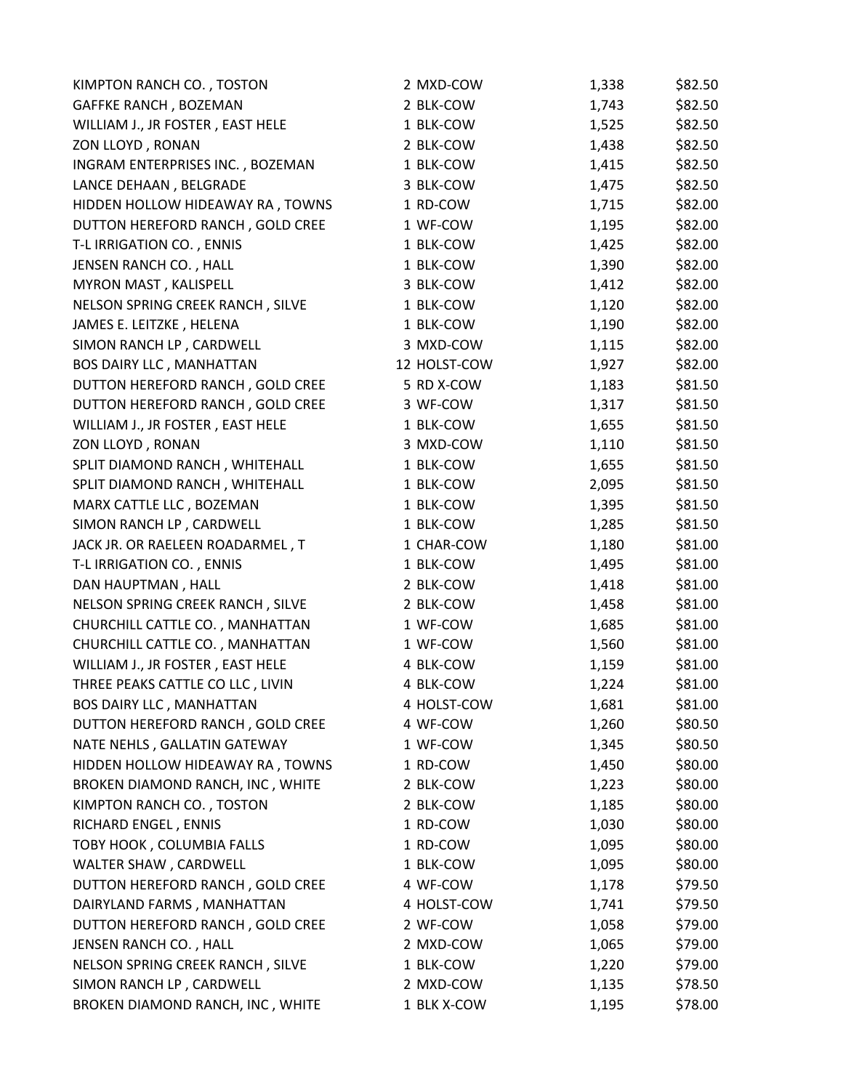| KIMPTON RANCH CO., TOSTON        | 2 MXD-COW    | 1,338 | \$82.50 |
|----------------------------------|--------------|-------|---------|
| GAFFKE RANCH, BOZEMAN            | 2 BLK-COW    | 1,743 | \$82.50 |
| WILLIAM J., JR FOSTER, EAST HELE | 1 BLK-COW    | 1,525 | \$82.50 |
| ZON LLOYD, RONAN                 | 2 BLK-COW    | 1,438 | \$82.50 |
| INGRAM ENTERPRISES INC., BOZEMAN | 1 BLK-COW    | 1,415 | \$82.50 |
| LANCE DEHAAN, BELGRADE           | 3 BLK-COW    | 1,475 | \$82.50 |
| HIDDEN HOLLOW HIDEAWAY RA, TOWNS | 1 RD-COW     | 1,715 | \$82.00 |
| DUTTON HEREFORD RANCH, GOLD CREE | 1 WF-COW     | 1,195 | \$82.00 |
| T-L IRRIGATION CO., ENNIS        | 1 BLK-COW    | 1,425 | \$82.00 |
| JENSEN RANCH CO., HALL           | 1 BLK-COW    | 1,390 | \$82.00 |
| MYRON MAST, KALISPELL            | 3 BLK-COW    | 1,412 | \$82.00 |
| NELSON SPRING CREEK RANCH, SILVE | 1 BLK-COW    | 1,120 | \$82.00 |
| JAMES E. LEITZKE, HELENA         | 1 BLK-COW    | 1,190 | \$82.00 |
| SIMON RANCH LP, CARDWELL         | 3 MXD-COW    | 1,115 | \$82.00 |
| <b>BOS DAIRY LLC, MANHATTAN</b>  | 12 HOLST-COW | 1,927 | \$82.00 |
| DUTTON HEREFORD RANCH, GOLD CREE | 5 RD X-COW   | 1,183 | \$81.50 |
| DUTTON HEREFORD RANCH, GOLD CREE | 3 WF-COW     | 1,317 | \$81.50 |
| WILLIAM J., JR FOSTER, EAST HELE | 1 BLK-COW    | 1,655 | \$81.50 |
| ZON LLOYD, RONAN                 | 3 MXD-COW    | 1,110 | \$81.50 |
| SPLIT DIAMOND RANCH, WHITEHALL   | 1 BLK-COW    | 1,655 | \$81.50 |
| SPLIT DIAMOND RANCH, WHITEHALL   | 1 BLK-COW    | 2,095 | \$81.50 |
| MARX CATTLE LLC, BOZEMAN         | 1 BLK-COW    | 1,395 | \$81.50 |
| SIMON RANCH LP, CARDWELL         | 1 BLK-COW    | 1,285 | \$81.50 |
| JACK JR. OR RAELEEN ROADARMEL, T | 1 CHAR-COW   | 1,180 | \$81.00 |
| T-L IRRIGATION CO., ENNIS        | 1 BLK-COW    | 1,495 | \$81.00 |
| DAN HAUPTMAN, HALL               | 2 BLK-COW    | 1,418 | \$81.00 |
| NELSON SPRING CREEK RANCH, SILVE | 2 BLK-COW    | 1,458 | \$81.00 |
| CHURCHILL CATTLE CO., MANHATTAN  | 1 WF-COW     | 1,685 | \$81.00 |
| CHURCHILL CATTLE CO., MANHATTAN  | 1 WF-COW     | 1,560 | \$81.00 |
| WILLIAM J., JR FOSTER, EAST HELE | 4 BLK-COW    | 1,159 | \$81.00 |
| THREE PEAKS CATTLE CO LLC, LIVIN | 4 BLK-COW    | 1,224 | \$81.00 |
| <b>BOS DAIRY LLC, MANHATTAN</b>  | 4 HOLST-COW  | 1,681 | \$81.00 |
| DUTTON HEREFORD RANCH, GOLD CREE | 4 WF-COW     | 1,260 | \$80.50 |
| NATE NEHLS, GALLATIN GATEWAY     | 1 WF-COW     | 1,345 | \$80.50 |
| HIDDEN HOLLOW HIDEAWAY RA, TOWNS | 1 RD-COW     | 1,450 | \$80.00 |
| BROKEN DIAMOND RANCH, INC, WHITE | 2 BLK-COW    | 1,223 | \$80.00 |
| KIMPTON RANCH CO., TOSTON        | 2 BLK-COW    | 1,185 | \$80.00 |
| RICHARD ENGEL, ENNIS             | 1 RD-COW     | 1,030 | \$80.00 |
| <b>TOBY HOOK, COLUMBIA FALLS</b> | 1 RD-COW     | 1,095 | \$80.00 |
| WALTER SHAW, CARDWELL            | 1 BLK-COW    | 1,095 | \$80.00 |
| DUTTON HEREFORD RANCH, GOLD CREE | 4 WF-COW     | 1,178 | \$79.50 |
| DAIRYLAND FARMS, MANHATTAN       | 4 HOLST-COW  | 1,741 | \$79.50 |
| DUTTON HEREFORD RANCH, GOLD CREE | 2 WF-COW     | 1,058 | \$79.00 |
| JENSEN RANCH CO., HALL           | 2 MXD-COW    | 1,065 | \$79.00 |
| NELSON SPRING CREEK RANCH, SILVE | 1 BLK-COW    | 1,220 | \$79.00 |
| SIMON RANCH LP, CARDWELL         | 2 MXD-COW    | 1,135 | \$78.50 |
| BROKEN DIAMOND RANCH, INC, WHITE | 1 BLK X-COW  | 1,195 | \$78.00 |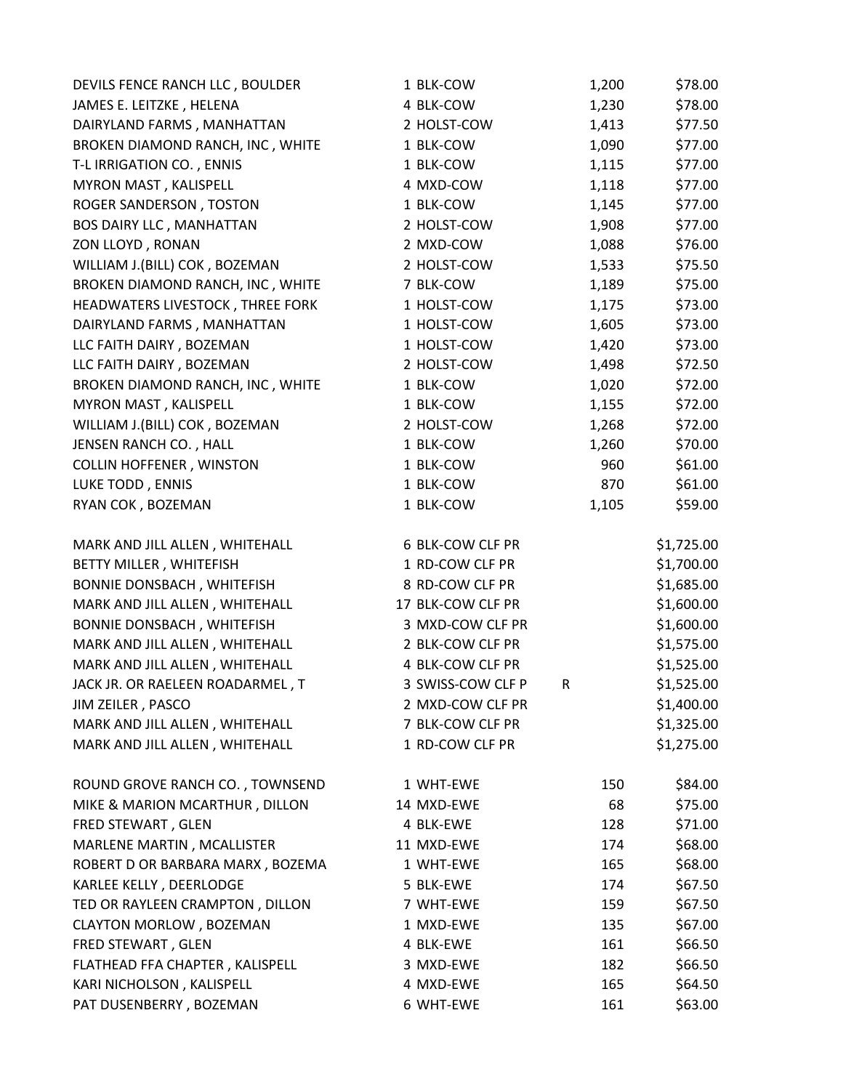| DEVILS FENCE RANCH LLC, BOULDER  | 1 BLK-COW         | 1,200 | \$78.00    |
|----------------------------------|-------------------|-------|------------|
| JAMES E. LEITZKE, HELENA         | 4 BLK-COW         | 1,230 | \$78.00    |
| DAIRYLAND FARMS, MANHATTAN       | 2 HOLST-COW       | 1,413 | \$77.50    |
| BROKEN DIAMOND RANCH, INC, WHITE | 1 BLK-COW         | 1,090 | \$77.00    |
| T-L IRRIGATION CO., ENNIS        | 1 BLK-COW         | 1,115 | \$77.00    |
| MYRON MAST, KALISPELL            | 4 MXD-COW         | 1,118 | \$77.00    |
| ROGER SANDERSON, TOSTON          | 1 BLK-COW         | 1,145 | \$77.00    |
| <b>BOS DAIRY LLC, MANHATTAN</b>  | 2 HOLST-COW       | 1,908 | \$77.00    |
| ZON LLOYD, RONAN                 | 2 MXD-COW         | 1,088 | \$76.00    |
| WILLIAM J.(BILL) COK, BOZEMAN    | 2 HOLST-COW       | 1,533 | \$75.50    |
| BROKEN DIAMOND RANCH, INC, WHITE | 7 BLK-COW         | 1,189 | \$75.00    |
| HEADWATERS LIVESTOCK, THREE FORK | 1 HOLST-COW       | 1,175 | \$73.00    |
| DAIRYLAND FARMS, MANHATTAN       | 1 HOLST-COW       | 1,605 | \$73.00    |
| LLC FAITH DAIRY, BOZEMAN         | 1 HOLST-COW       | 1,420 | \$73.00    |
| LLC FAITH DAIRY, BOZEMAN         | 2 HOLST-COW       | 1,498 | \$72.50    |
| BROKEN DIAMOND RANCH, INC, WHITE | 1 BLK-COW         | 1,020 | \$72.00    |
| MYRON MAST, KALISPELL            | 1 BLK-COW         | 1,155 | \$72.00    |
| WILLIAM J.(BILL) COK, BOZEMAN    | 2 HOLST-COW       | 1,268 | \$72.00    |
| JENSEN RANCH CO., HALL           | 1 BLK-COW         | 1,260 | \$70.00    |
| <b>COLLIN HOFFENER, WINSTON</b>  | 1 BLK-COW         | 960   | \$61.00    |
| LUKE TODD, ENNIS                 | 1 BLK-COW         | 870   | \$61.00    |
| RYAN COK, BOZEMAN                | 1 BLK-COW         | 1,105 | \$59.00    |
| MARK AND JILL ALLEN, WHITEHALL   | 6 BLK-COW CLF PR  |       | \$1,725.00 |
| BETTY MILLER, WHITEFISH          | 1 RD-COW CLF PR   |       | \$1,700.00 |
| BONNIE DONSBACH, WHITEFISH       | 8 RD-COW CLF PR   |       | \$1,685.00 |
| MARK AND JILL ALLEN, WHITEHALL   | 17 BLK-COW CLF PR |       | \$1,600.00 |
| BONNIE DONSBACH, WHITEFISH       | 3 MXD-COW CLF PR  |       | \$1,600.00 |
| MARK AND JILL ALLEN, WHITEHALL   | 2 BLK-COW CLF PR  |       | \$1,575.00 |
| MARK AND JILL ALLEN, WHITEHALL   | 4 BLK-COW CLF PR  |       | \$1,525.00 |
| JACK JR. OR RAELEEN ROADARMEL, T | 3 SWISS-COW CLF P | R     | \$1,525.00 |
| JIM ZEILER, PASCO                | 2 MXD-COW CLF PR  |       | \$1,400.00 |
| MARK AND JILL ALLEN, WHITEHALL   | 7 BLK-COW CLF PR  |       | \$1,325.00 |
| MARK AND JILL ALLEN, WHITEHALL   | 1 RD-COW CLF PR   |       | \$1,275.00 |
| ROUND GROVE RANCH CO., TOWNSEND  | 1 WHT-EWE         | 150   | \$84.00    |
| MIKE & MARION MCARTHUR, DILLON   | 14 MXD-EWE        | 68    | \$75.00    |
| FRED STEWART, GLEN               | 4 BLK-EWE         | 128   | \$71.00    |
| MARLENE MARTIN, MCALLISTER       | 11 MXD-EWE        | 174   | \$68.00    |
| ROBERT D OR BARBARA MARX, BOZEMA | 1 WHT-EWE         | 165   | \$68.00    |
| KARLEE KELLY, DEERLODGE          | 5 BLK-EWE         | 174   | \$67.50    |
| TED OR RAYLEEN CRAMPTON, DILLON  | 7 WHT-EWE         | 159   | \$67.50    |
| <b>CLAYTON MORLOW, BOZEMAN</b>   | 1 MXD-EWE         | 135   | \$67.00    |
| FRED STEWART, GLEN               | 4 BLK-EWE         | 161   | \$66.50    |
| FLATHEAD FFA CHAPTER, KALISPELL  | 3 MXD-EWE         | 182   | \$66.50    |
| KARI NICHOLSON, KALISPELL        | 4 MXD-EWE         | 165   | \$64.50    |
| PAT DUSENBERRY, BOZEMAN          | 6 WHT-EWE         | 161   | \$63.00    |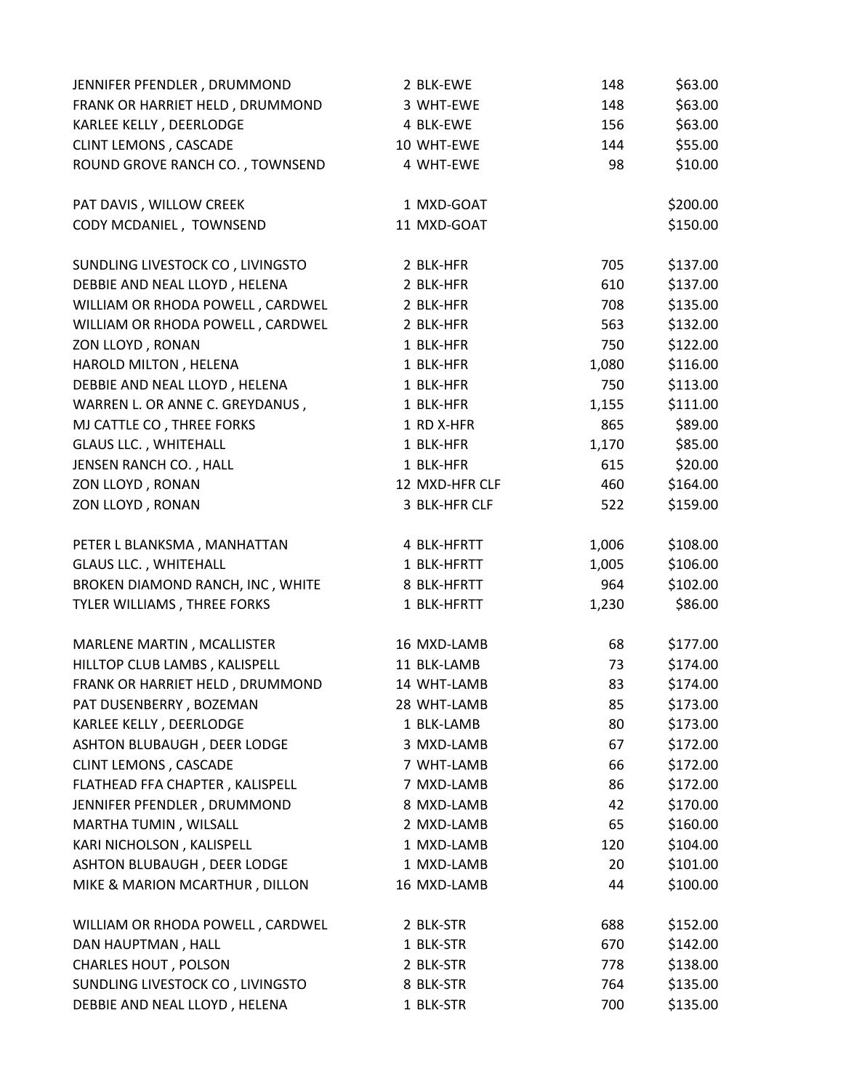| JENNIFER PFENDLER, DRUMMOND      | 2 BLK-EWE      | 148   | \$63.00  |
|----------------------------------|----------------|-------|----------|
| FRANK OR HARRIET HELD, DRUMMOND  | 3 WHT-EWE      | 148   | \$63.00  |
| KARLEE KELLY, DEERLODGE          | 4 BLK-EWE      | 156   | \$63.00  |
| <b>CLINT LEMONS, CASCADE</b>     | 10 WHT-EWE     | 144   | \$55.00  |
| ROUND GROVE RANCH CO., TOWNSEND  | 4 WHT-EWE      | 98    | \$10.00  |
| PAT DAVIS, WILLOW CREEK          | 1 MXD-GOAT     |       | \$200.00 |
| CODY MCDANIEL, TOWNSEND          | 11 MXD-GOAT    |       | \$150.00 |
| SUNDLING LIVESTOCK CO, LIVINGSTO | 2 BLK-HFR      | 705   | \$137.00 |
| DEBBIE AND NEAL LLOYD, HELENA    | 2 BLK-HFR      | 610   | \$137.00 |
| WILLIAM OR RHODA POWELL, CARDWEL | 2 BLK-HFR      | 708   | \$135.00 |
| WILLIAM OR RHODA POWELL, CARDWEL | 2 BLK-HFR      | 563   | \$132.00 |
| ZON LLOYD, RONAN                 | 1 BLK-HFR      | 750   | \$122.00 |
| HAROLD MILTON, HELENA            | 1 BLK-HFR      | 1,080 | \$116.00 |
| DEBBIE AND NEAL LLOYD, HELENA    | 1 BLK-HFR      | 750   | \$113.00 |
| WARREN L. OR ANNE C. GREYDANUS,  | 1 BLK-HFR      | 1,155 | \$111.00 |
| MJ CATTLE CO, THREE FORKS        | 1 RD X-HFR     | 865   | \$89.00  |
| <b>GLAUS LLC., WHITEHALL</b>     | 1 BLK-HFR      | 1,170 | \$85.00  |
| JENSEN RANCH CO., HALL           | 1 BLK-HFR      | 615   | \$20.00  |
| ZON LLOYD, RONAN                 | 12 MXD-HFR CLF | 460   | \$164.00 |
| ZON LLOYD, RONAN                 | 3 BLK-HFR CLF  | 522   | \$159.00 |
| PETER L BLANKSMA, MANHATTAN      | 4 BLK-HFRTT    | 1,006 | \$108.00 |
| <b>GLAUS LLC., WHITEHALL</b>     | 1 BLK-HFRTT    | 1,005 | \$106.00 |
| BROKEN DIAMOND RANCH, INC, WHITE | 8 BLK-HFRTT    | 964   | \$102.00 |
| TYLER WILLIAMS, THREE FORKS      | 1 BLK-HFRTT    | 1,230 | \$86.00  |
| MARLENE MARTIN, MCALLISTER       | 16 MXD-LAMB    | 68    | \$177.00 |
| HILLTOP CLUB LAMBS, KALISPELL    | 11 BLK-LAMB    | 73    | \$174.00 |
| FRANK OR HARRIET HELD, DRUMMOND  | 14 WHT-LAMB    | 83    | \$174.00 |
| PAT DUSENBERRY, BOZEMAN          | 28 WHT-LAMB    | 85    | \$173.00 |
| KARLEE KELLY, DEERLODGE          | 1 BLK-LAMB     | 80    | \$173.00 |
| ASHTON BLUBAUGH, DEER LODGE      | 3 MXD-LAMB     | 67    | \$172.00 |
| <b>CLINT LEMONS, CASCADE</b>     | 7 WHT-LAMB     | 66    | \$172.00 |
| FLATHEAD FFA CHAPTER, KALISPELL  | 7 MXD-LAMB     | 86    | \$172.00 |
| JENNIFER PFENDLER, DRUMMOND      | 8 MXD-LAMB     | 42    | \$170.00 |
| MARTHA TUMIN, WILSALL            | 2 MXD-LAMB     | 65    | \$160.00 |
| KARI NICHOLSON, KALISPELL        | 1 MXD-LAMB     | 120   | \$104.00 |
| ASHTON BLUBAUGH, DEER LODGE      | 1 MXD-LAMB     | 20    | \$101.00 |
| MIKE & MARION MCARTHUR, DILLON   | 16 MXD-LAMB    | 44    | \$100.00 |
| WILLIAM OR RHODA POWELL, CARDWEL | 2 BLK-STR      | 688   | \$152.00 |
| DAN HAUPTMAN, HALL               | 1 BLK-STR      | 670   | \$142.00 |
| CHARLES HOUT, POLSON             | 2 BLK-STR      | 778   | \$138.00 |
| SUNDLING LIVESTOCK CO, LIVINGSTO | 8 BLK-STR      | 764   | \$135.00 |
| DEBBIE AND NEAL LLOYD, HELENA    | 1 BLK-STR      | 700   | \$135.00 |